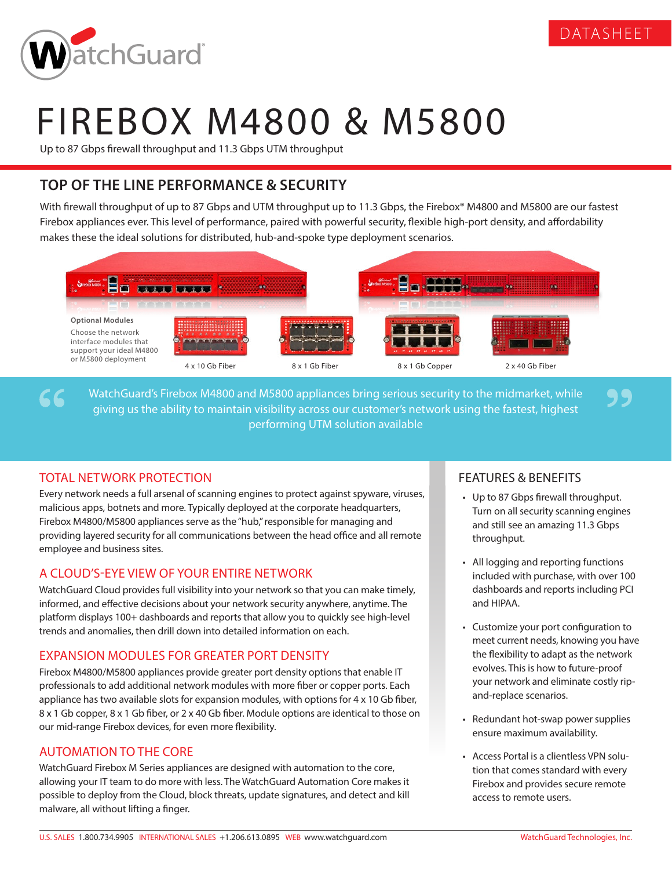

99



# FIREBOX M4800 & M5800

Up to 87 Gbps firewall throughput and 11.3 Gbps UTM throughput

## **TOP OF THE LINE PERFORMANCE & SECURITY**

With firewall throughput of up to 87 Gbps and UTM throughput up to 11.3 Gbps, the Firebox® M4800 and M5800 are our fastest Firebox appliances ever. This level of performance, paired with powerful security, flexible high-port density, and affordability makes these the ideal solutions for distributed, hub-and-spoke type deployment scenarios.



WatchGuard's Firebox M4800 and M5800 appliances bring serious security to the midmarket, while giving us the ability to maintain visibility across our customer's network using the fastest, highest performing UTM solution available

## TOTAL NETWORK PROTECTION

 $66$ 

Every network needs a full arsenal of scanning engines to protect against spyware, viruses, malicious apps, botnets and more. Typically deployed at the corporate headquarters, Firebox M4800/M5800 appliances serve as the "hub," responsible for managing and providing layered security for all communications between the head office and all remote employee and business sites.

## A CLOUD'S-EYE VIEW OF YOUR ENTIRE NETWORK

WatchGuard Cloud provides full visibility into your network so that you can make timely, informed, and effective decisions about your network security anywhere, anytime. The platform displays 100+ dashboards and reports that allow you to quickly see high-level trends and anomalies, then drill down into detailed information on each.

### EXPANSION MODULES FOR GREATER PORT DENSITY

Firebox M4800/M5800 appliances provide greater port density options that enable IT professionals to add additional network modules with more fiber or copper ports. Each appliance has two available slots for expansion modules, with options for 4 x 10 Gb fiber, 8 x 1 Gb copper, 8 x 1 Gb fiber, or 2 x 40 Gb fiber. Module options are identical to those on our mid-range Firebox devices, for even more flexibility.

### AUTOMATION TO THE CORE

WatchGuard Firebox M Series appliances are designed with automation to the core, allowing your IT team to do more with less. The WatchGuard Automation Core makes it possible to deploy from the Cloud, block threats, update signatures, and detect and kill malware, all without lifting a finger.

### FEATURES & BENEFITS

- Up to 87 Gbps firewall throughput. Turn on all security scanning engines and still see an amazing 11.3 Gbps throughput.
- All logging and reporting functions included with purchase, with over 100 dashboards and reports including PCI and HIPAA.
- Customize your port configuration to meet current needs, knowing you have the flexibility to adapt as the network evolves. This is how to future-proof your network and eliminate costly ripand-replace scenarios.
- Redundant hot-swap power supplies ensure maximum availability.
- Access Portal is a clientless VPN solution that comes standard with every Firebox and provides secure remote access to remote users.